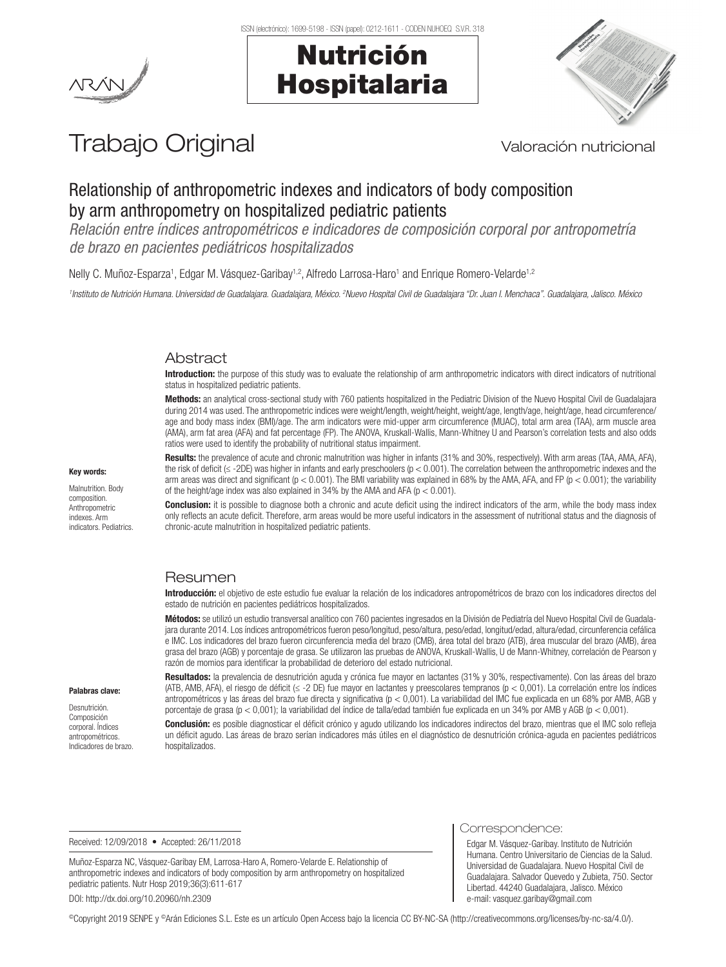

## Nutrición Hospitalaria



# Trabajo Original Valoración nutricional

### Relationship of anthropometric indexes and indicators of body composition by arm anthropometry on hospitalized pediatric patients

*Relación entre índices antropométricos e indicadores de composición corporal por antropometría de brazo en pacientes pediátricos hospitalizados*

Nelly C. Muñoz-Esparza1, Edgar M. Vásquez-Garibay1,2, Alfredo Larrosa-Haro1 and Enrique Romero-Velarde1,2

<sup>1</sup>Instituto de Nutrición Humana. Universidad de Guadalajara, Guadalajara, México. <sup>2</sup>Nuevo Hospital Civil de Guadalajara <sup>a</sup> Dr. Juan I. Menchaca". Guadalajara, Jalisco. México

#### Abstract

Introduction: the purpose of this study was to evaluate the relationship of arm anthropometric indicators with direct indicators of nutritional status in hospitalized pediatric patients.

Methods: an analytical cross-sectional study with 760 patients hospitalized in the Pediatric Division of the Nuevo Hospital Civil de Guadalajara during 2014 was used. The anthropometric indices were weight/length, weight/height, weight/age, length/age, height/age, head circumference/ age and body mass index (BMI)/age. The arm indicators were mid-upper arm circumference (MUAC), total arm area (TAA), arm muscle area (AMA), arm fat area (AFA) and fat percentage (FP). The ANOVA, Kruskall-Wallis, Mann-Whitney U and Pearson's correlation tests and also odds ratios were used to identify the probability of nutritional status impairment.

Results: the prevalence of acute and chronic malnutrition was higher in infants (31% and 30%, respectively). With arm areas (TAA, AMA, AFA), the risk of deficit (≤ -2DE) was higher in infants and early preschoolers (p < 0.001). The correlation between the anthropometric indexes and the arm areas was direct and significant ( $p < 0.001$ ). The BMI variability was explained in 68% by the AMA, AFA, and FP ( $p < 0.001$ ); the variability of the height/age index was also explained in 34% by the AMA and AFA ( $p < 0.001$ ).

**Conclusion:** it is possible to diagnose both a chronic and acute deficit using the indirect indicators of the arm, while the body mass index only reflects an acute deficit. Therefore, arm areas would be more useful indicators in the assessment of nutritional status and the diagnosis of chronic-acute malnutrition in hospitalized pediatric patients.

#### Resumen

Introducción: el objetivo de este estudio fue evaluar la relación de los indicadores antropométricos de brazo con los indicadores directos del estado de nutrición en pacientes pediátricos hospitalizados.

Métodos: se utilizó un estudio transversal analítico con 760 pacientes ingresados en la División de Pediatría del Nuevo Hospital Civil de Guadalajara durante 2014. Los índices antropométricos fueron peso/longitud, peso/altura, peso/edad, longitud/edad, altura/edad, circunferencia cefálica e IMC. Los indicadores del brazo fueron circunferencia media del brazo (CMB), área total del brazo (ATB), área muscular del brazo (AMB), área grasa del brazo (AGB) y porcentaje de grasa. Se utilizaron las pruebas de ANOVA, Kruskall-Wallis, U de Mann-Whitney, correlación de Pearson y razón de momios para identificar la probabilidad de deterioro del estado nutricional.

#### Palabras clave:

Desnutrición. Composición corporal. Índices antropométricos. Indicadores de brazo. Resultados: la prevalencia de desnutrición aguda y crónica fue mayor en lactantes (31% y 30%, respectivamente). Con las áreas del brazo (ATB, AMB, AFA), el riesgo de déficit (≤ -2 DE) fue mayor en lactantes y preescolares tempranos (p < 0,001). La correlación entre los índices antropométricos y las áreas del brazo fue directa y significativa (p < 0,001). La variabilidad del IMC fue explicada en un 68% por AMB, AGB y porcentaje de grasa (p < 0,001); la variabilidad del índice de talla/edad también fue explicada en un 34% por AMB y AGB (p < 0,001).

Conclusión: es posible diagnosticar el déficit crónico y agudo utilizando los indicadores indirectos del brazo, mientras que el IMC solo refleja un déficit agudo. Las áreas de brazo serían indicadores más útiles en el diagnóstico de desnutrición crónica-aguda en pacientes pediátricos hospitalizados.

Received: 12/09/2018 • Accepted: 26/11/2018

Muñoz-Esparza NC, Vásquez-Garibay EM, Larrosa-Haro A, Romero-Velarde E. Relationship of anthropometric indexes and indicators of body composition by arm anthropometry on hospitalized pediatric patients. Nutr Hosp 2019;36(3):611-617 DOI: http://dx.doi.org/10.20960/nh.2309

Correspondence:

Edgar M. Vásquez-Garibay. Instituto de Nutrición Humana. Centro Universitario de Ciencias de la Salud. Universidad de Guadalajara. Nuevo Hospital Civil de Guadalajara. Salvador Quevedo y Zubieta, 750. Sector Libertad. 44240 Guadalajara, Jalisco. México e-mail: vasquez.garibay@gmail.com

©Copyright 2019 SENPE y ©Arán Ediciones S.L. Este es un artículo Open Access bajo la licencia CC BY-NC-SA (http://creativecommons.org/licenses/by-nc-sa/4.0/).

### Key words: Malnutrition. Body

composition. Anthropometric indexes. Arm indicators. Pediatrics.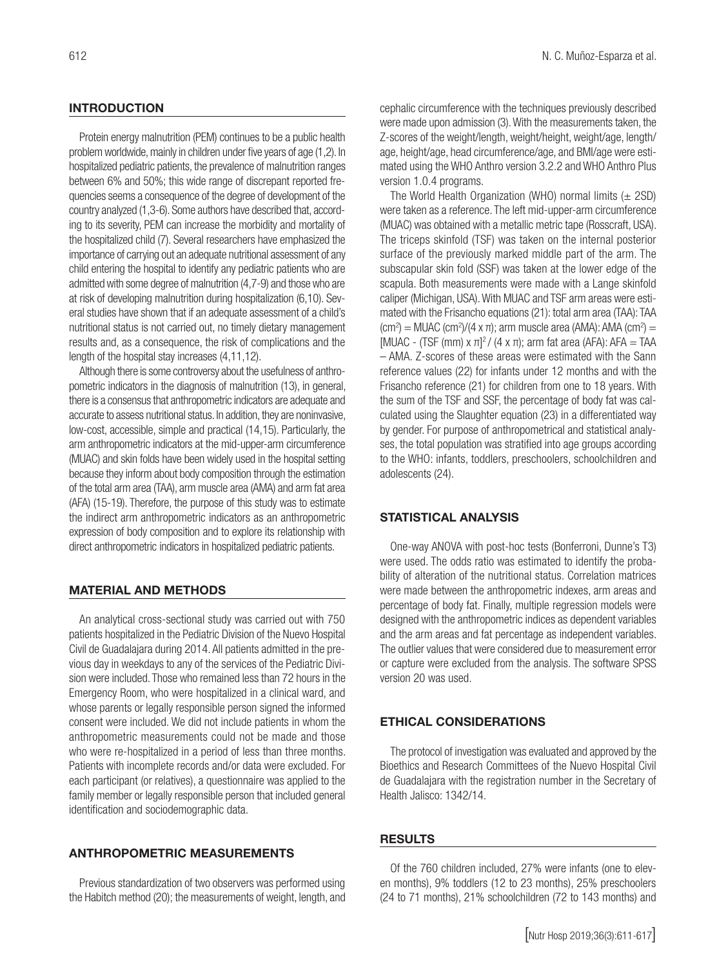#### **INTRODUCTION**

Protein energy malnutrition (PEM) continues to be a public health problem worldwide, mainly in children under five years of age (1,2). In hospitalized pediatric patients, the prevalence of malnutrition ranges between 6% and 50%; this wide range of discrepant reported frequencies seems a consequence of the degree of development of the country analyzed (1,3-6). Some authors have described that, according to its severity, PEM can increase the morbidity and mortality of the hospitalized child (7). Several researchers have emphasized the importance of carrying out an adequate nutritional assessment of any child entering the hospital to identify any pediatric patients who are admitted with some degree of malnutrition (4,7-9) and those who are at risk of developing malnutrition during hospitalization (6,10). Several studies have shown that if an adequate assessment of a child's nutritional status is not carried out, no timely dietary management results and, as a consequence, the risk of complications and the length of the hospital stay increases (4,11,12).

Although there is some controversy about the usefulness of anthropometric indicators in the diagnosis of malnutrition (13), in general, there is a consensus that anthropometric indicators are adequate and accurate to assess nutritional status. In addition, they are noninvasive, low-cost, accessible, simple and practical (14,15). Particularly, the arm anthropometric indicators at the mid-upper-arm circumference (MUAC) and skin folds have been widely used in the hospital setting because they inform about body composition through the estimation of the total arm area (TAA), arm muscle area (AMA) and arm fat area (AFA) (15-19). Therefore, the purpose of this study was to estimate the indirect arm anthropometric indicators as an anthropometric expression of body composition and to explore its relationship with direct anthropometric indicators in hospitalized pediatric patients.

#### MATERIAL AND METHODS

An analytical cross-sectional study was carried out with 750 patients hospitalized in the Pediatric Division of the Nuevo Hospital Civil de Guadalajara during 2014. All patients admitted in the previous day in weekdays to any of the services of the Pediatric Division were included. Those who remained less than 72 hours in the Emergency Room, who were hospitalized in a clinical ward, and whose parents or legally responsible person signed the informed consent were included. We did not include patients in whom the anthropometric measurements could not be made and those who were re-hospitalized in a period of less than three months. Patients with incomplete records and/or data were excluded. For each participant (or relatives), a questionnaire was applied to the family member or legally responsible person that included general identification and sociodemographic data.

#### ANTHROPOMETRIC MEASUREMENTS

Previous standardization of two observers was performed using the Habitch method (20); the measurements of weight, length, and cephalic circumference with the techniques previously described were made upon admission (3). With the measurements taken, the Z-scores of the weight/length, weight/height, weight/age, length/ age, height/age, head circumference/age, and BMI/age were estimated using the WHO Anthro version 3.2.2 and WHO Anthro Plus version 1.0.4 programs.

The World Health Organization (WHO) normal limits  $(\pm 2SD)$ were taken as a reference. The left mid-upper-arm circumference (MUAC) was obtained with a metallic metric tape (Rosscraft, USA). The triceps skinfold (TSF) was taken on the internal posterior surface of the previously marked middle part of the arm. The subscapular skin fold (SSF) was taken at the lower edge of the scapula. Both measurements were made with a Lange skinfold caliper (Michigan, USA). With MUAC and TSF arm areas were estimated with the Frisancho equations (21): total arm area (TAA): TAA  $\rm (cm^2) = MUAC$  (cm<sup>2</sup>)/(4 x π); arm muscle area (AMA): AMA (cm<sup>2</sup>) = [MUAC - (TSF (mm) x  $\pi$ ]<sup>2</sup>/ (4 x  $\pi$ ); arm fat area (AFA): AFA = TAA – AMA. Z-scores of these areas were estimated with the Sann reference values (22) for infants under 12 months and with the Frisancho reference (21) for children from one to 18 years. With the sum of the TSF and SSF, the percentage of body fat was calculated using the Slaughter equation (23) in a differentiated way by gender. For purpose of anthropometrical and statistical analyses, the total population was stratified into age groups according to the WHO: infants, toddlers, preschoolers, schoolchildren and adolescents (24).

#### STATISTICAL ANALYSIS

One-way ANOVA with post-hoc tests (Bonferroni, Dunne's T3) were used. The odds ratio was estimated to identify the probability of alteration of the nutritional status. Correlation matrices were made between the anthropometric indexes, arm areas and percentage of body fat. Finally, multiple regression models were designed with the anthropometric indices as dependent variables and the arm areas and fat percentage as independent variables. The outlier values that were considered due to measurement error or capture were excluded from the analysis. The software SPSS version 20 was used.

#### ETHICAL CONSIDERATIONS

The protocol of investigation was evaluated and approved by the Bioethics and Research Committees of the Nuevo Hospital Civil de Guadalajara with the registration number in the Secretary of Health Jalisco: 1342/14.

#### RESULTS

Of the 760 children included, 27% were infants (one to eleven months), 9% toddlers (12 to 23 months), 25% preschoolers (24 to 71 months), 21% schoolchildren (72 to 143 months) and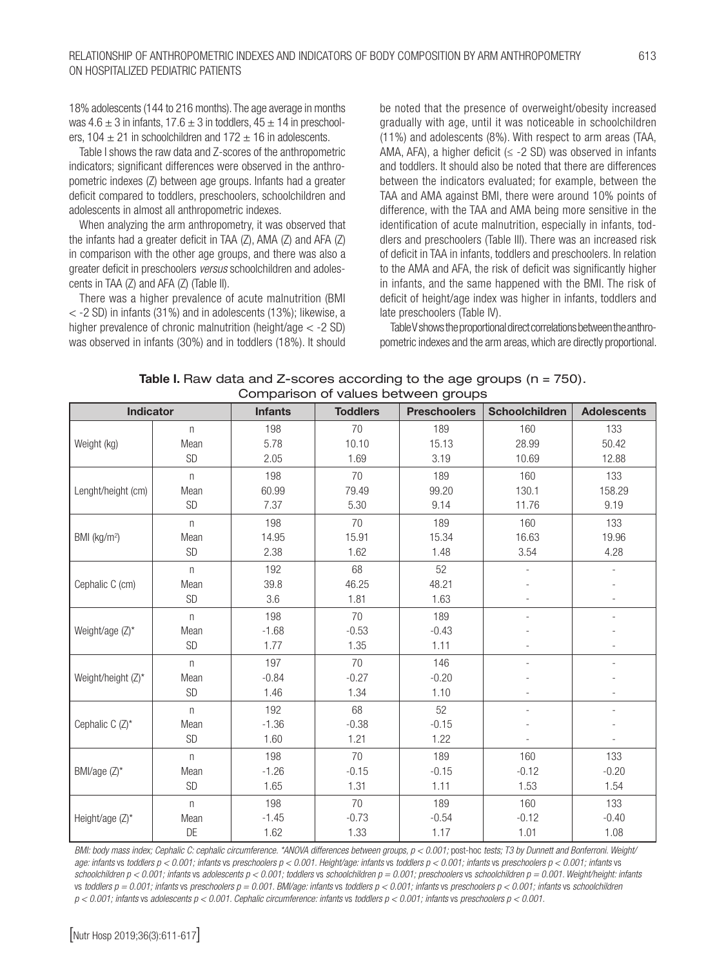18% adolescents (144 to 216 months). The age average in months was  $4.6 \pm 3$  in infants,  $17.6 \pm 3$  in toddlers,  $45 \pm 14$  in preschoolers,  $104 \pm 21$  in schoolchildren and  $172 \pm 16$  in adolescents.

Table I shows the raw data and Z-scores of the anthropometric indicators; significant differences were observed in the anthropometric indexes (Z) between age groups. Infants had a greater deficit compared to toddlers, preschoolers, schoolchildren and adolescents in almost all anthropometric indexes.

When analyzing the arm anthropometry, it was observed that the infants had a greater deficit in TAA (Z), AMA (Z) and AFA (Z) in comparison with the other age groups, and there was also a greater deficit in preschoolers *versus* schoolchildren and adolescents in TAA (Z) and AFA (Z) (Table II).

There was a higher prevalence of acute malnutrition (BMI  $<$  -2 SD) in infants (31%) and in adolescents (13%); likewise, a higher prevalence of chronic malnutrition (height/age < -2 SD) was observed in infants (30%) and in toddlers (18%). It should be noted that the presence of overweight/obesity increased gradually with age, until it was noticeable in schoolchildren (11%) and adolescents (8%). With respect to arm areas (TAA, AMA, AFA), a higher deficit ( $\leq$  -2 SD) was observed in infants and toddlers. It should also be noted that there are differences between the indicators evaluated; for example, between the TAA and AMA against BMI, there were around 10% points of difference, with the TAA and AMA being more sensitive in the identification of acute malnutrition, especially in infants, toddlers and preschoolers (Table III). There was an increased risk of deficit in TAA in infants, toddlers and preschoolers. In relation to the AMA and AFA, the risk of deficit was significantly higher in infants, and the same happened with the BMI. The risk of deficit of height/age index was higher in infants, toddlers and late preschoolers (Table IV).

Table V shows the proportional direct correlations between the anthropometric indexes and the arm areas, which are directly proportional.

**Table I.** Raw data and Z-scores according to the age groups  $(n = 750)$ . Comparison of values between groups

Indicator **Infants Toddlers Preschoolers Schoolchildren** Adolescents

|                                                                                                                                                                                                                                                                                                                                                     | n    | 198     | 70      | 189     | 160     | 133     |  |  |
|-----------------------------------------------------------------------------------------------------------------------------------------------------------------------------------------------------------------------------------------------------------------------------------------------------------------------------------------------------|------|---------|---------|---------|---------|---------|--|--|
| Weight (kg)                                                                                                                                                                                                                                                                                                                                         | Mean | 5.78    | 10.10   | 15.13   | 28.99   | 50.42   |  |  |
|                                                                                                                                                                                                                                                                                                                                                     | SD   | 2.05    | 1.69    | 3.19    | 10.69   | 12.88   |  |  |
|                                                                                                                                                                                                                                                                                                                                                     | n    | 198     | 70      | 189     | 160     | 133     |  |  |
| Lenght/height (cm)                                                                                                                                                                                                                                                                                                                                  | Mean | 60.99   | 79.49   | 99.20   | 130.1   | 158.29  |  |  |
|                                                                                                                                                                                                                                                                                                                                                     | SD   | 7.37    | 5.30    | 9.14    | 11.76   | 9.19    |  |  |
|                                                                                                                                                                                                                                                                                                                                                     | n    | 198     | 70      | 189     | 160     | 133     |  |  |
| BMI (kg/m <sup>2</sup> )                                                                                                                                                                                                                                                                                                                            | Mean | 14.95   | 15.91   | 15.34   | 16.63   | 19.96   |  |  |
|                                                                                                                                                                                                                                                                                                                                                     | SD   | 2.38    | 1.62    | 1.48    | 3.54    | 4.28    |  |  |
|                                                                                                                                                                                                                                                                                                                                                     | n    | 192     | 68      | 52      |         |         |  |  |
| Cephalic C (cm)                                                                                                                                                                                                                                                                                                                                     | Mean | 39.8    | 46.25   | 48.21   |         |         |  |  |
|                                                                                                                                                                                                                                                                                                                                                     | SD   | 3.6     | 1.81    | 1.63    |         |         |  |  |
|                                                                                                                                                                                                                                                                                                                                                     | n    | 198     | 70      | 189     |         |         |  |  |
| Weight/age (Z)*                                                                                                                                                                                                                                                                                                                                     | Mean | $-1.68$ | $-0.53$ | $-0.43$ |         |         |  |  |
|                                                                                                                                                                                                                                                                                                                                                     | SD   | 1.77    | 1.35    | 1.11    |         |         |  |  |
|                                                                                                                                                                                                                                                                                                                                                     | n    | 197     | 70      | 146     |         |         |  |  |
| Weight/height (Z)*                                                                                                                                                                                                                                                                                                                                  | Mean | $-0.84$ | $-0.27$ | $-0.20$ |         |         |  |  |
|                                                                                                                                                                                                                                                                                                                                                     | SD   | 1.46    | 1.34    | 1.10    |         |         |  |  |
|                                                                                                                                                                                                                                                                                                                                                     | n    | 192     | 68      | 52      |         |         |  |  |
| Cephalic C $(Z)^*$                                                                                                                                                                                                                                                                                                                                  | Mean | $-1.36$ | $-0.38$ | $-0.15$ |         |         |  |  |
|                                                                                                                                                                                                                                                                                                                                                     | SD   | 1.60    | 1.21    | 1.22    |         |         |  |  |
|                                                                                                                                                                                                                                                                                                                                                     | n    | 198     | 70      | 189     | 160     | 133     |  |  |
| BMI/age (Z)*                                                                                                                                                                                                                                                                                                                                        | Mean | $-1.26$ | $-0.15$ | $-0.15$ | $-0.12$ | $-0.20$ |  |  |
|                                                                                                                                                                                                                                                                                                                                                     | SD   | 1.65    | 1.31    | 1.11    | 1.53    | 1.54    |  |  |
|                                                                                                                                                                                                                                                                                                                                                     | n    | 198     | 70      | 189     | 160     | 133     |  |  |
| Height/age (Z)*                                                                                                                                                                                                                                                                                                                                     | Mean | $-1.45$ | $-0.73$ | $-0.54$ | $-0.12$ | $-0.40$ |  |  |
|                                                                                                                                                                                                                                                                                                                                                     | DE   | 1.62    | 1.33    | 1.17    | 1.01    | 1.08    |  |  |
| BMI: body mass index; Cephalic C: cephalic circumference. *ANOVA differences between groups, $p < 0.001$ ; post-hoc tests; T3 by Dunnett and Bonferroni. Weight/<br>age; infants ys, toddlers $n < 0.001$ ; infants ys, preschoolers $n < 0.001$ . Height/age; infants ys, toddlers $n < 0.001$ ; infants ys, preschoolers $n < 0.001$ ; infants ys |      |         |         |         |         |         |  |  |

*age: infants* vs *toddlers p < 0.001; infants* vs *preschoolers p < 0.001. Height/age: infants* vs *toddlers p < 0.001; infants* vs *preschoolers p < 0.001; infants* vs *schoolchildren p < 0.001; infants* vs *adolescents p < 0.001; toddlers* vs *schoolchildren p = 0.001; preschoolers* vs *schoolchildren p = 0.001. Weight/height: infants*  vs *toddlers p = 0.001; infants* vs *preschoolers p = 0.001. BMI/age: infants* vs *toddlers p < 0.001; infants* vs *preschoolers p < 0.001; infants* vs *schoolchildren p < 0.001; infants* vs *adolescents p < 0.001. Cephalic circumference: infants* vs *toddlers p < 0.001; infants* vs *preschoolers p < 0.001.*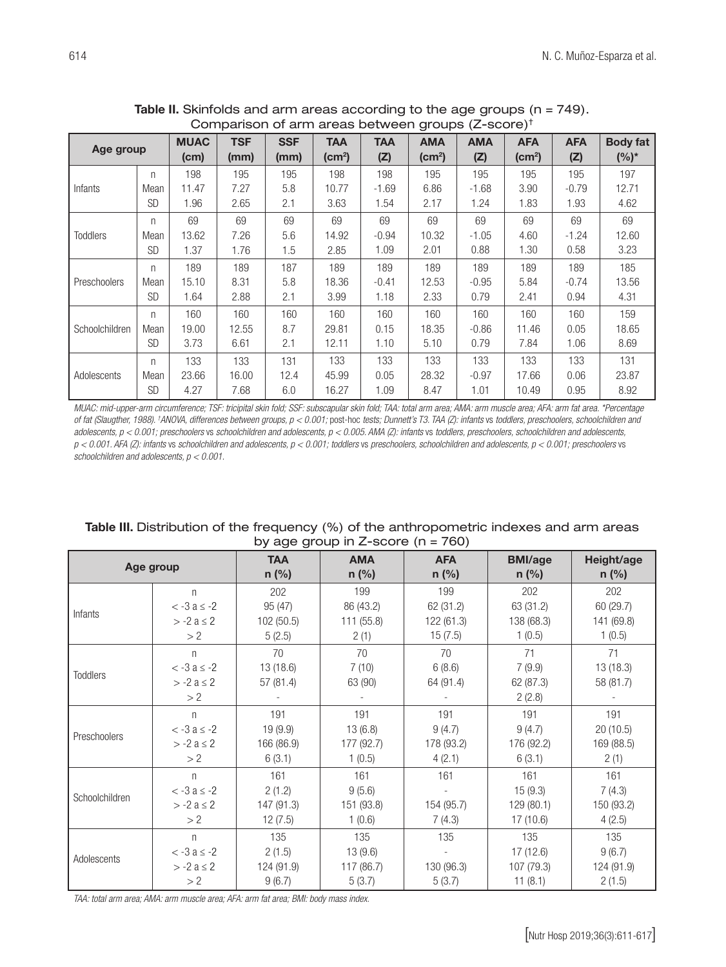| $\tilde{}$<br>.<br>$9.0490 = 000.07$ |           |                     |                    |                    |                                          |                   |                               |                   |                                  |                   |                            |
|--------------------------------------|-----------|---------------------|--------------------|--------------------|------------------------------------------|-------------------|-------------------------------|-------------------|----------------------------------|-------------------|----------------------------|
| Age group                            |           | <b>MUAC</b><br>(cm) | <b>TSF</b><br>(mm) | <b>SSF</b><br>(mm) | <b>TAA</b><br>$\textsf{(cm}^2\textsf{)}$ | <b>TAA</b><br>(Z) | <b>AMA</b><br>$\text{(cm}^2)$ | <b>AMA</b><br>(Z) | <b>AFA</b><br>(cm <sup>2</sup> ) | <b>AFA</b><br>(Z) | <b>Body fat</b><br>$(%)^*$ |
|                                      | n         | 198                 | 195                | 195                | 198                                      | 198               | 195                           | 195               | 195                              | 195               | 197                        |
| Infants                              | Mean      | 11.47               | 7.27               | 5.8                | 10.77                                    | $-1.69$           | 6.86                          | $-1.68$           | 3.90                             | $-0.79$           | 12.71                      |
|                                      | <b>SD</b> | 1.96                | 2.65               | 2.1                | 3.63                                     | 1.54              | 2.17                          | 1.24              | 1.83                             | 1.93              | 4.62                       |
|                                      | n         | 69                  | 69                 | 69                 | 69                                       | 69                | 69                            | 69                | 69                               | 69                | 69                         |
| <b>Toddlers</b>                      | Mean      | 13.62               | 7.26               | 5.6                | 14.92                                    | $-0.94$           | 10.32                         | $-1.05$           | 4.60                             | $-1.24$           | 12.60                      |
|                                      | SD        | 1.37                | 1.76               | 1.5                | 2.85                                     | 1.09              | 2.01                          | 0.88              | 1.30                             | 0.58              | 3.23                       |
|                                      | n         | 189                 | 189                | 187                | 189                                      | 189               | 189                           | 189               | 189                              | 189               | 185                        |
| Preschoolers                         | Mean      | 15.10               | 8.31               | 5.8                | 18.36                                    | $-0.41$           | 12.53                         | $-0.95$           | 5.84                             | $-0.74$           | 13.56                      |
|                                      | <b>SD</b> | 1.64                | 2.88               | 2.1                | 3.99                                     | 1.18              | 2.33                          | 0.79              | 2.41                             | 0.94              | 4.31                       |
|                                      | n         | 160                 | 160                | 160                | 160                                      | 160               | 160                           | 160               | 160                              | 160               | 159                        |
| Schoolchildren                       | Mean      | 19.00               | 12.55              | 8.7                | 29.81                                    | 0.15              | 18.35                         | $-0.86$           | 11.46                            | 0.05              | 18.65                      |
|                                      | <b>SD</b> | 3.73                | 6.61               | 2.1                | 12.11                                    | 1.10              | 5.10                          | 0.79              | 7.84                             | 1.06              | 8.69                       |
| Adolescents                          | n         | 133                 | 133                | 131                | 133                                      | 133               | 133                           | 133               | 133                              | 133               | 131                        |
|                                      | Mean      | 23.66               | 16.00              | 12.4               | 45.99                                    | 0.05              | 28.32                         | $-0.97$           | 17.66                            | 0.06              | 23.87                      |
|                                      | <b>SD</b> | 4.27                | 7.68               | 6.0                | 16.27                                    | 1.09              | 8.47                          | 1.01              | 10.49                            | 0.95              | 8.92                       |

Table II. Skinfolds and arm areas according to the age groups (n = 749). Comparison of arm areas between groups (Z-score)†

*MUAC: mid-upper-arm circumference; TSF: tricipital skin fold; SSF: subscapular skin fold; TAA: total arm area; AMA: arm muscle area; AFA: arm fat area. \*Percentage of fat (Slaugther, 1988). † ANOVA, differences between groups, p < 0.001;* post-hoc *tests; Dunnett's T3. TAA (Z): infants* vs *toddlers, preschoolers, schoolchildren and adolescents, p < 0.001; preschoolers* vs *schoolchildren and adolescents, p < 0.005. AMA (Z): infants* vs *toddlers, preschoolers, schoolchildren and adolescents, p < 0.001. AFA (Z): infants* vs *schoolchildren and adolescents, p < 0.001; toddlers* vs *preschoolers, schoolchildren and adolescents, p < 0.001; preschoolers* vs *schoolchildren and adolescents, p < 0.001.*

| $\omega$ ago group in $\epsilon$ soord (ii – $\omega$ ) |                    |            |            |            |                |            |  |  |  |
|---------------------------------------------------------|--------------------|------------|------------|------------|----------------|------------|--|--|--|
| Age group                                               |                    | <b>TAA</b> | <b>AMA</b> | <b>AFA</b> | <b>BMI/age</b> | Height/age |  |  |  |
|                                                         |                    | $n$ (%)    | n (%)      | n (%)      | $n$ (%)        | n (%)      |  |  |  |
|                                                         | $\mathsf{n}$       | 202        | 199        | 199        | 202            | 202        |  |  |  |
| Infants                                                 | $<$ -3 a $\leq$ -2 | 95 (47)    | 86 (43.2)  | 62 (31.2)  | 63 (31.2)      | 60 (29.7)  |  |  |  |
|                                                         | $> -2 a \le 2$     | 102 (50.5) | 111 (55.8) | 122 (61.3) | 138 (68.3)     | 141 (69.8) |  |  |  |
|                                                         | > 2                | 5(2.5)     | 2(1)       | 15(7.5)    | 1(0.5)         | 1(0.5)     |  |  |  |
|                                                         | $\mathsf{n}$       | 70         | 70         | 70         | 71             | 71         |  |  |  |
|                                                         | $< -3a \le -2$     | 13 (18.6)  | 7(10)      | 6(8.6)     | 7(9.9)         | 13 (18.3)  |  |  |  |
| <b>Toddlers</b>                                         | $> -2 a \le 2$     | 57 (81.4)  | 63 (90)    | 64 (91.4)  | 62 (87.3)      | 58 (81.7)  |  |  |  |
|                                                         | >2                 |            |            |            | 2(2.8)         |            |  |  |  |
|                                                         | $\mathsf{n}$       | 191        | 191        | 191        | 191            | 191        |  |  |  |
| Preschoolers                                            | $< -3a \le -2$     | 19(9.9)    | 13(6.8)    | 9(4.7)     | 9(4.7)         | 20(10.5)   |  |  |  |
|                                                         | $> -2 a \le 2$     | 166 (86.9) | 177 (92.7) | 178 (93.2) | 176 (92.2)     | 169 (88.5) |  |  |  |
|                                                         | >2                 | 6(3.1)     | 1(0.5)     | 4(2.1)     | 6(3.1)         | 2(1)       |  |  |  |
|                                                         | $\mathsf{n}$       | 161        | 161        | 161        | 161            | 161        |  |  |  |
|                                                         | $< -3a \le -2$     | 2(1.2)     | 9(5.6)     |            | 15(9.3)        | 7(4.3)     |  |  |  |
| Schoolchildren                                          | $> -2 a \le 2$     | 147 (91.3) | 151 (93.8) | 154 (95.7) | 129 (80.1)     | 150 (93.2) |  |  |  |
|                                                         | > 2                | 12(7.5)    | 1(0.6)     | 7(4.3)     | 17(10.6)       | 4(2.5)     |  |  |  |
|                                                         | $\mathsf{n}$       | 135        | 135        | 135        | 135            | 135        |  |  |  |
| Adolescents                                             | $< -3a \le -2$     | 2(1.5)     | 13(9.6)    |            | 17(12.6)       | 9(6.7)     |  |  |  |
|                                                         | $> -2 a \le 2$     | 124 (91.9) | 117 (86.7) | 130 (96.3) | 107 (79.3)     | 124 (91.9) |  |  |  |
|                                                         | > 2                | 9(6.7)     | 5(3.7)     | 5(3.7)     | 11(8.1)        | 2(1.5)     |  |  |  |

#### Table III. Distribution of the frequency (%) of the anthropometric indexes and arm areas by age group in  $7$ -score (n =  $760$ )

*TAA: total arm area; AMA: arm muscle area; AFA: arm fat area; BMI: body mass index.*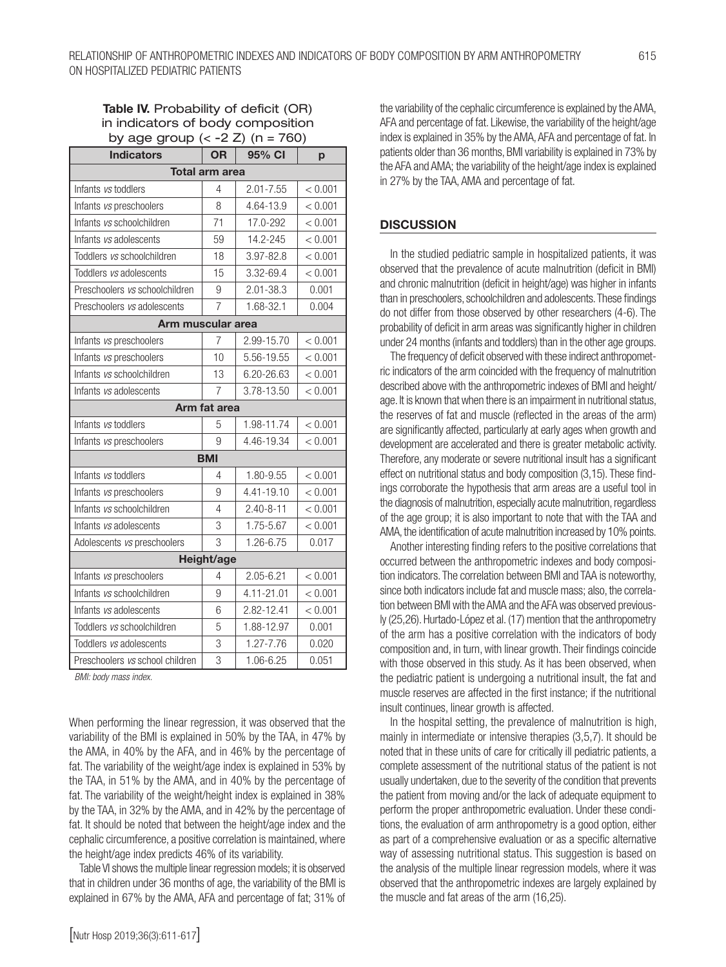#### Table IV. Probability of deficit (OR) in indicators of body composition by age group  $(< -2 Z)$  (n = 760)

| -- లా లా                        |                |                 |         |  |  |  |  |  |  |
|---------------------------------|----------------|-----------------|---------|--|--|--|--|--|--|
| <b>Indicators</b>               | <b>OR</b>      | 95% CI          | p       |  |  |  |  |  |  |
| <b>Total arm area</b>           |                |                 |         |  |  |  |  |  |  |
| Infants vs toddlers             | $\overline{4}$ | $2.01 - 7.55$   | < 0.001 |  |  |  |  |  |  |
| Infants vs preschoolers         | 8              | 4.64-13.9       | < 0.001 |  |  |  |  |  |  |
| Infants vs schoolchildren       | 71             | 17.0-292        | < 0.001 |  |  |  |  |  |  |
| Infants vs adolescents          | 59             | 14.2-245        | < 0.001 |  |  |  |  |  |  |
| Toddlers vs schoolchildren      | 18             | 3.97-82.8       | < 0.001 |  |  |  |  |  |  |
| Toddlers vs adolescents         | 15             | 3.32-69.4       | < 0.001 |  |  |  |  |  |  |
| Preschoolers vs schoolchildren  | 9              | $2.01 - 38.3$   | 0.001   |  |  |  |  |  |  |
| Preschoolers vs adolescents     | 7              | 1.68-32.1       | 0.004   |  |  |  |  |  |  |
| Arm muscular area               |                |                 |         |  |  |  |  |  |  |
| Infants vs preschoolers         | 7              | 2.99-15.70      | < 0.001 |  |  |  |  |  |  |
| Infants vs preschoolers         | 10             | 5.56-19.55      | < 0.001 |  |  |  |  |  |  |
| Infants vs schoolchildren       | 13             | 6.20-26.63      | < 0.001 |  |  |  |  |  |  |
| Infants vs adolescents          | $\overline{7}$ | 3.78-13.50      | < 0.001 |  |  |  |  |  |  |
| Arm fat area                    |                |                 |         |  |  |  |  |  |  |
| Infants vs toddlers             | 5              | 1.98-11.74      | < 0.001 |  |  |  |  |  |  |
| Infants vs preschoolers         | 9              | 4.46-19.34      | < 0.001 |  |  |  |  |  |  |
|                                 | <b>BMI</b>     |                 |         |  |  |  |  |  |  |
| Infants vs toddlers             | 4              | 1.80-9.55       | < 0.001 |  |  |  |  |  |  |
| Infants vs preschoolers         | 9              | 4.41-19.10      | < 0.001 |  |  |  |  |  |  |
| Infants vs schoolchildren       | 4              | $2.40 - 8 - 11$ | < 0.001 |  |  |  |  |  |  |
| Infants vs adolescents          | 3              | 1.75-5.67       | < 0.001 |  |  |  |  |  |  |
| Adolescents vs preschoolers     | 3              | 1.26-6.75       | 0.017   |  |  |  |  |  |  |
|                                 | Height/age     |                 |         |  |  |  |  |  |  |
| Infants vs preschoolers         | 4              | 2.05-6.21       | < 0.001 |  |  |  |  |  |  |
| Infants vs schoolchildren       | 9              | 4.11-21.01      | < 0.001 |  |  |  |  |  |  |
| Infants vs adolescents          | 6              | 2.82-12.41      | < 0.001 |  |  |  |  |  |  |
| Toddlers vs schoolchildren      | 5              | 1.88-12.97      | 0.001   |  |  |  |  |  |  |
| Toddlers vs adolescents         | 3              | 1.27-7.76       | 0.020   |  |  |  |  |  |  |
| Preschoolers vs school children | 3              | 1.06-6.25       | 0.051   |  |  |  |  |  |  |

*BMI: body mass index.*

When performing the linear regression, it was observed that the variability of the BMI is explained in 50% by the TAA, in 47% by the AMA, in 40% by the AFA, and in 46% by the percentage of fat. The variability of the weight/age index is explained in 53% by the TAA, in 51% by the AMA, and in 40% by the percentage of fat. The variability of the weight/height index is explained in 38% by the TAA, in 32% by the AMA, and in 42% by the percentage of fat. It should be noted that between the height/age index and the cephalic circumference, a positive correlation is maintained, where the height/age index predicts 46% of its variability.

Table VI shows the multiple linear regression models; it is observed that in children under 36 months of age, the variability of the BMI is explained in 67% by the AMA, AFA and percentage of fat; 31% of the variability of the cephalic circumference is explained by the AMA, AFA and percentage of fat. Likewise, the variability of the height/age index is explained in 35% by the AMA, AFA and percentage of fat. In patients older than 36 months, BMI variability is explained in 73% by the AFA and AMA; the variability of the height/age index is explained in 27% by the TAA, AMA and percentage of fat.

#### **DISCUSSION**

In the studied pediatric sample in hospitalized patients, it was observed that the prevalence of acute malnutrition (deficit in BMI) and chronic malnutrition (deficit in height/age) was higher in infants than in preschoolers, schoolchildren and adolescents. These findings do not differ from those observed by other researchers (4-6). The probability of deficit in arm areas was significantly higher in children under 24 months (infants and toddlers) than in the other age groups.

The frequency of deficit observed with these indirect anthropometric indicators of the arm coincided with the frequency of malnutrition described above with the anthropometric indexes of BMI and height/ age. It is known that when there is an impairment in nutritional status, the reserves of fat and muscle (reflected in the areas of the arm) are significantly affected, particularly at early ages when growth and development are accelerated and there is greater metabolic activity. Therefore, any moderate or severe nutritional insult has a significant effect on nutritional status and body composition (3,15). These findings corroborate the hypothesis that arm areas are a useful tool in the diagnosis of malnutrition, especially acute malnutrition, regardless of the age group; it is also important to note that with the TAA and AMA, the identification of acute malnutrition increased by 10% points.

Another interesting finding refers to the positive correlations that occurred between the anthropometric indexes and body composition indicators. The correlation between BMI and TAA is noteworthy, since both indicators include fat and muscle mass; also, the correlation between BMI with the AMA and the AFA was observed previously (25,26). Hurtado-López et al. (17) mention that the anthropometry of the arm has a positive correlation with the indicators of body composition and, in turn, with linear growth. Their findings coincide with those observed in this study. As it has been observed, when the pediatric patient is undergoing a nutritional insult, the fat and muscle reserves are affected in the first instance; if the nutritional insult continues, linear growth is affected.

In the hospital setting, the prevalence of malnutrition is high, mainly in intermediate or intensive therapies (3,5,7). It should be noted that in these units of care for critically ill pediatric patients, a complete assessment of the nutritional status of the patient is not usually undertaken, due to the severity of the condition that prevents the patient from moving and/or the lack of adequate equipment to perform the proper anthropometric evaluation. Under these conditions, the evaluation of arm anthropometry is a good option, either as part of a comprehensive evaluation or as a specific alternative way of assessing nutritional status. This suggestion is based on the analysis of the multiple linear regression models, where it was observed that the anthropometric indexes are largely explained by the muscle and fat areas of the arm (16,25).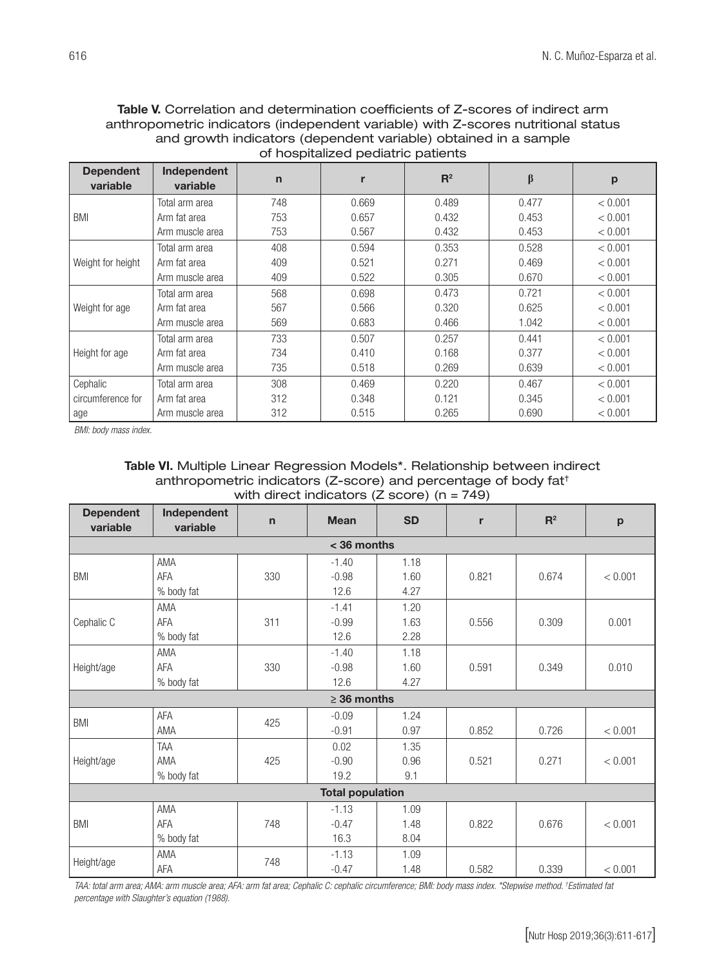#### Table V. Correlation and determination coefficients of Z-scores of indirect arm anthropometric indicators (independent variable) with Z-scores nutritional status and growth indicators (dependent variable) obtained in a sample of hospitalized pediatric patients

| <b>Dependent</b><br>variable | Independent<br>variable | $\mathbf n$ |       | $R^2$ | $\beta$ | p       |
|------------------------------|-------------------------|-------------|-------|-------|---------|---------|
|                              | Total arm area          | 748         | 0.669 | 0.489 | 0.477   | < 0.001 |
| BMI                          | Arm fat area            | 753         | 0.657 | 0.432 | 0.453   | < 0.001 |
|                              | Arm muscle area         | 753         | 0.567 | 0.432 | 0.453   | < 0.001 |
|                              | Total arm area          | 408         | 0.594 | 0.353 | 0.528   | < 0.001 |
| Weight for height            | Arm fat area            | 409         | 0.521 | 0.271 | 0.469   | < 0.001 |
|                              | Arm muscle area         | 409         | 0.522 | 0.305 | 0.670   | < 0.001 |
|                              | Total arm area          | 568         | 0.698 | 0.473 | 0.721   | < 0.001 |
| Weight for age               | Arm fat area            | 567         | 0.566 | 0.320 | 0.625   | < 0.001 |
|                              | Arm muscle area         | 569         | 0.683 | 0.466 | 1.042   | < 0.001 |
|                              | Total arm area          | 733         | 0.507 | 0.257 | 0.441   | < 0.001 |
| Height for age               | Arm fat area            | 734         | 0.410 | 0.168 | 0.377   | < 0.001 |
|                              | Arm muscle area         | 735         | 0.518 | 0.269 | 0.639   | < 0.001 |
| Cephalic                     | Total arm area          | 308         | 0.469 | 0.220 | 0.467   | < 0.001 |
| circumference for            | Arm fat area            | 312         | 0.348 | 0.121 | 0.345   | < 0.001 |
| age                          | Arm muscle area         | 312         | 0.515 | 0.265 | 0.690   | < 0.001 |

*BMI: body mass index.*

#### Table VI. Multiple Linear Regression Models\*. Relationship between indirect anthropometric indicators (Z-score) and percentage of body fat† with direct indicators (Z score) (n = 749)

| <b>Dependent</b><br>variable | Independent<br>variable | $\mathsf{n}$ | <b>Mean</b>      | <b>SD</b> | r     | $R^2$ | p       |  |  |
|------------------------------|-------------------------|--------------|------------------|-----------|-------|-------|---------|--|--|
| $<$ 36 months                |                         |              |                  |           |       |       |         |  |  |
|                              | <b>AMA</b>              |              | $-1.40$          | 1.18      |       |       |         |  |  |
| <b>BMI</b>                   | AFA                     | 330          | $-0.98$          | 1.60      | 0.821 | 0.674 | < 0.001 |  |  |
|                              | % body fat              |              | 12.6             | 4.27      |       |       |         |  |  |
|                              | AMA                     |              | $-1.41$          | 1.20      |       |       |         |  |  |
| Cephalic C                   | AFA                     | 311          | $-0.99$          | 1.63      | 0.556 | 0.309 | 0.001   |  |  |
|                              | % body fat              |              | 12.6             | 2.28      |       |       |         |  |  |
|                              | AMA                     |              | $-1.40$          | 1.18      |       |       |         |  |  |
| Height/age                   | AFA                     | 330          | $-0.98$          | 1.60      | 0.591 | 0.349 | 0.010   |  |  |
|                              | % body fat              |              | 12.6             | 4.27      |       |       |         |  |  |
|                              |                         |              | $\geq$ 36 months |           |       |       |         |  |  |
| <b>BMI</b>                   | AFA                     | 425          | $-0.09$          | 1.24      |       |       |         |  |  |
|                              | <b>AMA</b>              |              | $-0.91$          | 0.97      | 0.852 | 0.726 | < 0.001 |  |  |
|                              | <b>TAA</b>              |              | 0.02             | 1.35      |       |       |         |  |  |
| Height/age                   | <b>AMA</b>              | 425          | $-0.90$          | 0.96      | 0.521 | 0.271 | < 0.001 |  |  |
|                              | % body fat              |              | 19.2             | 9.1       |       |       |         |  |  |
| <b>Total population</b>      |                         |              |                  |           |       |       |         |  |  |
|                              | AMA                     |              | $-1.13$          | 1.09      |       |       |         |  |  |
| <b>BMI</b>                   | AFA                     | 748          | $-0.47$          | 1.48      | 0.822 | 0.676 | < 0.001 |  |  |
|                              | % body fat              |              | 16.3             | 8.04      |       |       |         |  |  |
|                              | AMA                     |              | $-1.13$          | 1.09      |       |       |         |  |  |
| Height/age                   | AFA                     | 748          | $-0.47$          | 1.48      | 0.582 | 0.339 | < 0.001 |  |  |

*TAA: total arm area; AMA: arm muscle area; AFA: arm fat area; Cephalic C: cephalic circumference; BMI: body mass index. \*Stepwise method. † Estimated fat percentage with Slaughter's equation (1988).*